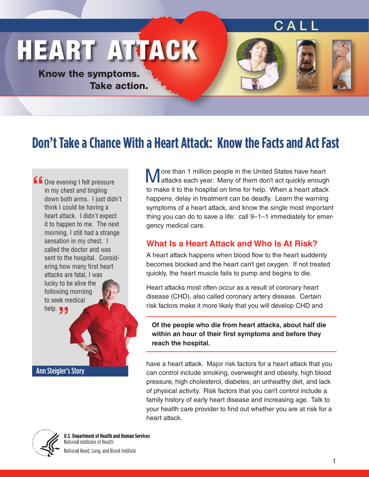## <u>CALL</u>

# HEART ATTACK

Know the symptoms. Take action.



# **Don't Take a Chance With a Heart Attack: Know the Facts and Act Fast**

**f** One evening I felt pressure<br>
in my chest and tingling<br>
down both arms. I just didi **"** help.in my chest and tingling down both arms. I just didn't think I could be having a heart attack. I didn't expect it to happen to me. The next morning, I still had a strange sensation in my chest. I called the doctor and was sent to the hospital. Considering how many first heart attacks are fatal, I was lucky to be alive the following morning to seek medical

**M** ore than 1 million people in the United States have heart attacks each year. Many of them don't act quickly enough to make it to the hospital on time for help. When a heart attack happens, delay in treatment can be deadly. Learn the warning symptoms of a heart attack, and know the single most important thing you can do to save a life: call 9–1–1 immediately for emergency medical care.

#### **What Is a Heart Attack and Who Is At Risk?**

A heart attack happens when blood flow to the heart suddenly becomes blocked and the heart can't get oxygen. If not treated quickly, the heart muscle fails to pump and begins to die.

Heart attacks most often occur as a result of coronary heart disease (CHD), also called coronary artery disease. Certain risk factors make it more likely that you will develop CHD and

**Of the people who die from heart attacks, about half die within an hour of their first symptoms and before they reach the hospital.**

have a heart attack. Major risk factors for a heart attack that you can control include smoking, overweight and obesity, high blood pressure, high cholesterol, diabetes, an unhealthy diet, and lack of physical activity. Risk factors that you can't control include a family history of early heart disease and increasing age. Talk to your health care provider to find out whether you are at risk for a heart attack.



Ann Steigler's Story

**U.S. Department of Health and Human Services** National Institutes of Health National Heart, Lung, and Blood Institute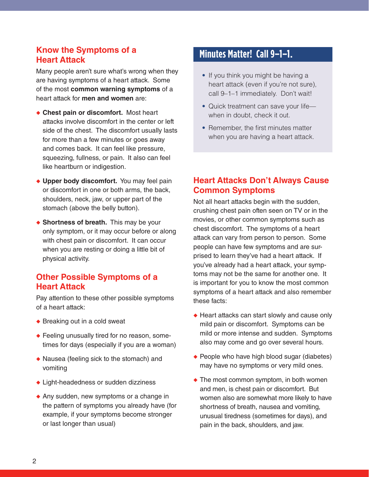#### **Know the Symptoms of a Heart Attack**

Many people aren't sure what's wrong when they are having symptoms of a heart attack. Some of the most **common warning symptoms** of a heart attack for **men and women** are:

- ◆◆ **Chest pain or discomfort.** Most heart attacks involve discomfort in the center or left side of the chest. The discomfort usually lasts for more than a few minutes or goes away and comes back. It can feel like pressure, squeezing, fullness, or pain. It also can feel like heartburn or indigestion.
- ◆ Upper body discomfort. You may feel pain or discomfort in one or both arms, the back, shoulders, neck, jaw, or upper part of the stomach (above the belly button).
- ◆ Shortness of breath. This may be your only symptom, or it may occur before or along with chest pain or discomfort. It can occur when you are resting or doing a little bit of physical activity.

#### **Other Possible Symptoms of a Heart Attack**

Pay attention to these other possible symptoms of a heart attack:

- ◆ Breaking out in a cold sweat
- ◆ Feeling unusually tired for no reason, sometimes for days (especially if you are a woman)
- ◆ Nausea (feeling sick to the stomach) and vomiting
- ◆ Light-headedness or sudden dizziness
- ◆ Any sudden, new symptoms or a change in the pattern of symptoms you already have (for example, if your symptoms become stronger or last longer than usual)

### **Minutes Matter! Call 9–1–1.**

- If you think you might be having a heart attack (even if you're not sure), call 9–1–1 immediately. Don't wait!
- Quick treatment can save your lifewhen in doubt, check it out.
- Remember, the first minutes matter when you are having a heart attack.

#### **Heart Attacks Don't Always Cause Common Symptoms**

Not all heart attacks begin with the sudden, crushing chest pain often seen on TV or in the movies, or other common symptoms such as chest discomfort. The symptoms of a heart attack can vary from person to person. Some people can have few symptoms and are surprised to learn they've had a heart attack. If you've already had a heart attack, your symptoms may not be the same for another one. It is important for you to know the most common symptoms of a heart attack and also remember these facts:

- ◆ Heart attacks can start slowly and cause only mild pain or discomfort. Symptoms can be mild or more intense and sudden. Symptoms also may come and go over several hours.
- ◆ People who have high blood sugar (diabetes) may have no symptoms or very mild ones.
- ◆ The most common symptom, in both women and men, is chest pain or discomfort. But women also are somewhat more likely to have shortness of breath, nausea and vomiting, unusual tiredness (sometimes for days), and pain in the back, shoulders, and jaw.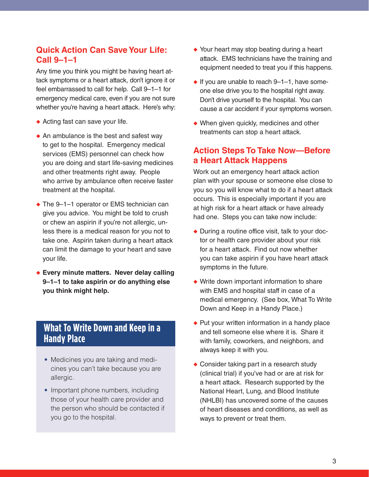#### **Quick Action Can Save Your Life: Call 9–1–1**

Any time you think you might be having heart attack symptoms or a heart attack, don't ignore it or feel embarrassed to call for help. Call 9–1–1 for emergency medical care, even if you are not sure whether you're having a heart attack. Here's why:

- ◆ Acting fast can save your life.
- ◆ An ambulance is the best and safest way to get to the hospital. Emergency medical services (EMS) personnel can check how you are doing and start life-saving medicines and other treatments right away. People who arrive by ambulance often receive faster treatment at the hospital.
- ◆ The 9-1-1 operator or EMS technician can give you advice. You might be told to crush or chew an aspirin if you're not allergic, unless there is a medical reason for you not to take one. Aspirin taken during a heart attack can limit the damage to your heart and save your life.
- ◆ Every minute matters. Never delay calling **9–1–1 to take aspirin or do anything else you think might help.**

### **What To Write Down and Keep in a Handy Place**

- Medicines you are taking and medicines you can't take because you are allergic.
- Important phone numbers, including those of your health care provider and the person who should be contacted if you go to the hospital.
- ◆ Your heart may stop beating during a heart attack. EMS technicians have the training and equipment needed to treat you if this happens.
- ◆ If you are unable to reach 9-1-1, have someone else drive you to the hospital right away. Don't drive yourself to the hospital. You can cause a car accident if your symptoms worsen.
- ◆ When given quickly, medicines and other treatments can stop a heart attack.

#### **Action Steps To Take Now—Before a Heart Attack Happens**

Work out an emergency heart attack action plan with your spouse or someone else close to you so you will know what to do if a heart attack occurs. This is especially important if you are at high risk for a heart attack or have already had one. Steps you can take now include:

- ◆ During a routine office visit, talk to your doctor or health care provider about your risk for a heart attack. Find out now whether you can take aspirin if you have heart attack symptoms in the future.
- ◆ Write down important information to share with EMS and hospital staff in case of a medical emergency. (See box, What To Write Down and Keep in a Handy Place.)
- ◆ Put your written information in a handy place and tell someone else where it is. Share it with family, coworkers, and neighbors, and always keep it with you.
- ◆ Consider taking part in a research study (clinical trial) if you've had or are at risk for a heart attack. Research supported by the National Heart, Lung, and Blood Institute (NHLBI) has uncovered some of the causes of heart diseases and conditions, as well as ways to prevent or treat them.